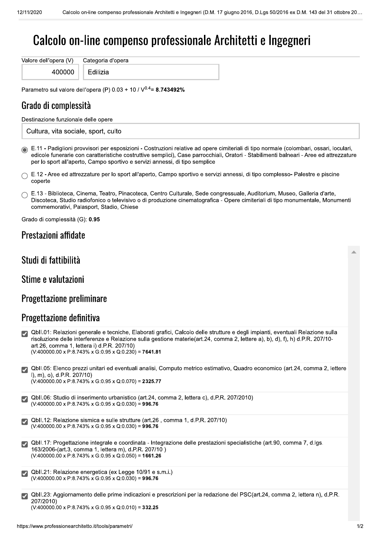# Calcolo on-line compenso professionale Architetti e Ingegneri

Valore dell'opera (V) Categoria d'opera 400000

Edilizia

Parametro sul valore dell'opera (P)  $0.03 + 10 / V^{0.4} = 8.743492\%$ 

## Grado di complessità

Destinazione funzionale delle opere

Cultura, vita sociale, sport, culto

6 E.11 - Padiglioni provvisori per esposizioni - Costruzioni relative ad opere cimiteriali di tipo normale (colombari, ossari, loculari, edicole funerarie con caratteristiche costruttive semplici), Case parrocchiali, Oratori - Stabilimenti balneari - Aree ed attrezzature per lo sport all'aperto, Campo sportivo e servizi annessi, di tipo semplice

 $\cap$  E.12 - Aree ed attrezzature per lo sport all'aperto, Campo sportivo e servizi annessi, di tipo complesso- Palestre e piscine coperte

| $\cap$ E.13 - Biblioteca, Cinema, Teatro, Pinacoteca, Centro Culturale, Sede congressuale, Auditorium, Museo, Galleria d'arte, |
|--------------------------------------------------------------------------------------------------------------------------------|
| Discoteca, Studio radiofonico o televisivo o di produzione cinematografica - Opere cimiteriali di tipo monumentale, Monumenti  |
| commemorativi, Palasport, Stadio, Chiese                                                                                       |

Grado di complessità (G): 0.95

#### Prestazioni affidate

#### Studi di fattibilità

Stime e valutazioni

#### Progettazione preliminare

#### Progettazione definitiva

| $\vert \checkmark \vert$     | QbII.01: Relazioni generale e tecniche, Elaborati grafici, Calcolo delle strutture e degli impianti, eventuali Relazione sulla<br>risoluzione delle interferenze e Relazione sulla gestione materie(art.24, comma 2, lettere a), b), d), f), h) d.P.R. 207/10-<br>art.26, comma 1, lettera i) d.P.R. 207/10)<br>$(V:400000.00 \times P:8.743\% \times G:0.95 \times Q:0.230) = 7641.81$ |
|------------------------------|-----------------------------------------------------------------------------------------------------------------------------------------------------------------------------------------------------------------------------------------------------------------------------------------------------------------------------------------------------------------------------------------|
|                              | QbII.05: Elenco prezzi unitari ed eventuali analisi, Computo metrico estimativo, Quadro economico (art.24, comma 2, lettere<br>I), m), o), d.P.R. $207/10$ )<br>$(V:400000.00 \times P:8.743\% \times G:0.95 \times Q:0.070) = 2325.77$                                                                                                                                                 |
| $ \boldsymbol{\mathcal{Y}} $ | QbII.06: Studio di inserimento urbanistico (art.24, comma 2, lettera c), d.P.R. 207/2010)<br>$(V:400000.00 \times P:8.743\% \times G:0.95 \times Q:0.030) = 996.76$                                                                                                                                                                                                                     |
|                              | Qbll.12: Relazione sismica e sulle strutture (art.26, comma 1, d.P.R. 207/10)<br>$(V:400000.00 \times P:8.743\% \times G:0.95 \times Q:0.030) = 996.76$                                                                                                                                                                                                                                 |
| $\boldsymbol{\mathcal{U}}$   | QbII.17: Progettazione integrale e coordinata - Integrazione delle prestazioni specialistiche (art.90, comma 7, d.lgs.<br>163/2006-(art.3, comma 1, lettera m), d.P.R. 207/10)<br>$(V:400000.00 \times P:8.743\% \times G:0.95 \times Q:0.050) = 1661.26$                                                                                                                               |
| $\vert \checkmark \vert$     | Qbll.21: Relazione energetica (ex Legge 10/91 e s.m.i.)<br>$(V:400000.00 \times P:8.743\% \times G:0.95 \times Q:0.030) = 996.76$                                                                                                                                                                                                                                                       |
|                              | QbII.23: Aggiornamento delle prime indicazioni e prescrizioni per la redazione del PSC(art.24, comma 2, lettera n), d.P.R.<br>207/2010)                                                                                                                                                                                                                                                 |

 $(V:400000.00 \times P:8.743\% \times G:0.95 \times Q:0.010) = 332.25$